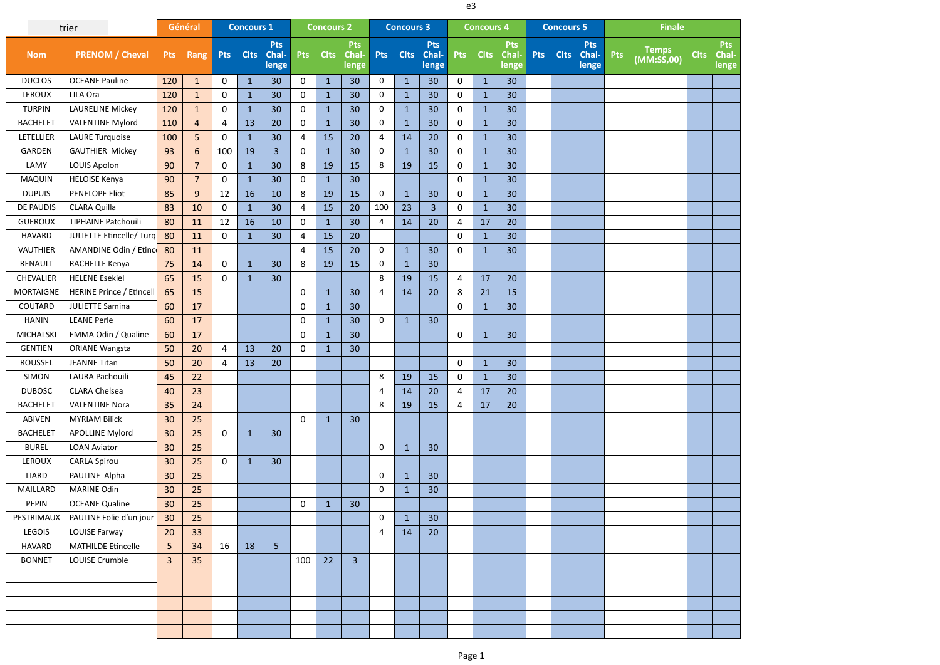|                  | trier                           |            |                 |     | <b>Concours 1</b> |                                   |                | <b>Concours 2</b> |                                     |                | <b>Concours 3</b> |                                       |                | <b>Concours 4</b> |                                     | <b>Concours 5</b> |                                       |            | <b>Finale</b>              |      |                              |
|------------------|---------------------------------|------------|-----------------|-----|-------------------|-----------------------------------|----------------|-------------------|-------------------------------------|----------------|-------------------|---------------------------------------|----------------|-------------------|-------------------------------------|-------------------|---------------------------------------|------------|----------------------------|------|------------------------------|
| <b>Nom</b>       | <b>PRENOM / Cheval</b>          | <b>Pts</b> | Rang            | Pts |                   | <b>Pts</b><br>Cits Chal-<br>lenge | Pts            | <b>Clts</b>       | <b>Pts</b><br><b>Chal-</b><br>lenge |                |                   | <b>Pts</b><br>Pts Clts Chal-<br>lenge | Pts            | <b>Clts</b>       | <b>Pts</b><br><b>Chal-</b><br>lenge |                   | <b>Pts</b><br>Pts Clts Chal-<br>lenge | <b>Pts</b> | <b>Temps</b><br>(MM:SS,00) | Clts | <b>Pts</b><br>Chal-<br>lenge |
| <b>DUCLOS</b>    | <b>OCEANE Pauline</b>           | 120        | $\mathbf{1}$    | 0   | $\mathbf{1}$      | 30                                | 0              | $\mathbf{1}$      | 30                                  | 0              | $\mathbf{1}$      | 30                                    | 0              | $\mathbf{1}$      | 30                                  |                   |                                       |            |                            |      |                              |
| LEROUX           | LILA Ora                        | 120        | $\mathbf{1}$    | 0   | $\mathbf{1}$      | 30                                | 0              | $\mathbf{1}$      | 30                                  | 0              | $\mathbf{1}$      | 30                                    | 0              | $\mathbf{1}$      | 30                                  |                   |                                       |            |                            |      |                              |
| <b>TURPIN</b>    | <b>LAURELINE Mickey</b>         | 120        | $\mathbf{1}$    | 0   | $\mathbf{1}$      | 30                                | 0              | $\mathbf{1}$      | 30                                  | 0              | $\mathbf{1}$      | 30                                    | 0              | $\mathbf{1}$      | 30                                  |                   |                                       |            |                            |      |                              |
| <b>BACHELET</b>  | <b>VALENTINE Mylord</b>         | 110        | $\overline{4}$  | 4   | 13                | 20                                | 0              | $\mathbf{1}$      | 30                                  | 0              | $\mathbf{1}$      | 30                                    | 0              | $\mathbf{1}$      | 30                                  |                   |                                       |            |                            |      |                              |
| LETELLIER        | <b>LAURE Turquoise</b>          | 100        | 5               | 0   | $\mathbf{1}$      | 30                                | 4              | 15                | 20                                  | 4              | 14                | 20                                    | 0              | $\mathbf{1}$      | 30                                  |                   |                                       |            |                            |      |                              |
| GARDEN           | <b>GAUTHIER Mickey</b>          | 93         | $6\phantom{1}6$ | 100 | 19                | 3                                 | 0              | $\mathbf{1}$      | 30                                  | 0              | $\mathbf{1}$      | 30                                    | 0              | $\mathbf{1}$      | 30                                  |                   |                                       |            |                            |      |                              |
| LAMY             | <b>LOUIS Apolon</b>             | 90         | $\overline{7}$  | 0   | $\mathbf{1}$      | 30                                | 8              | 19                | 15                                  | 8              | 19                | 15                                    | 0              | $\mathbf{1}$      | 30                                  |                   |                                       |            |                            |      |                              |
| <b>MAQUIN</b>    | <b>HELOISE Kenya</b>            | 90         | $\overline{7}$  | 0   | $\mathbf{1}$      | 30                                | 0              | $\mathbf{1}$      | 30                                  |                |                   |                                       | 0              | $\mathbf{1}$      | 30                                  |                   |                                       |            |                            |      |                              |
| <b>DUPUIS</b>    | PENELOPE Eliot                  | 85         | 9               | 12  | 16                | 10                                | 8              | 19                | 15                                  | $\mathbf 0$    | $\mathbf{1}$      | 30                                    | 0              | $\mathbf{1}$      | 30                                  |                   |                                       |            |                            |      |                              |
| DE PAUDIS        | <b>CLARA Quilla</b>             | 83         | 10              | 0   | $\mathbf{1}$      | 30                                | 4              | 15                | 20                                  | 100            | 23                | 3                                     | 0              | $\mathbf{1}$      | 30                                  |                   |                                       |            |                            |      |                              |
| <b>GUEROUX</b>   | <b>TIPHAINE Patchouili</b>      | 80         | 11              | 12  | 16                | 10                                | 0              | $\mathbf{1}$      | 30                                  | 4              | 14                | 20                                    | $\overline{4}$ | 17                | 20                                  |                   |                                       |            |                            |      |                              |
| <b>HAVARD</b>    | JULIETTE Etincelle/Turq         | 80         | 11              | 0   | $\mathbf{1}$      | 30                                | $\overline{4}$ | 15                | 20                                  |                |                   |                                       | $\mathbf 0$    | $\mathbf{1}$      | 30                                  |                   |                                       |            |                            |      |                              |
| VAUTHIER         | AMANDINE Odin / Etinc           | 80         | 11              |     |                   |                                   | $\overline{4}$ | 15                | 20                                  | 0              | $\mathbf{1}$      | 30                                    | 0              | $\mathbf{1}$      | 30                                  |                   |                                       |            |                            |      |                              |
| RENAULT          | <b>RACHELLE Kenya</b>           | 75         | 14              | 0   | $\mathbf{1}$      | 30                                | 8              | 19                | 15                                  | 0              | $\mathbf{1}$      | 30                                    |                |                   |                                     |                   |                                       |            |                            |      |                              |
| CHEVALIER        | <b>HELENE Esekiel</b>           | 65         | 15              | 0   | $\mathbf{1}$      | 30                                |                |                   |                                     | 8              | 19                | 15                                    | 4              | 17                | 20                                  |                   |                                       |            |                            |      |                              |
| <b>MORTAIGNE</b> | <b>HERINE Prince / Etincell</b> | 65         | 15              |     |                   |                                   | 0              | $\mathbf{1}$      | 30                                  | 4              | 14                | 20                                    | 8              | 21                | 15                                  |                   |                                       |            |                            |      |                              |
| COUTARD          | <b>JULIETTE Samina</b>          | 60         | 17              |     |                   |                                   | 0              | $\mathbf{1}$      | 30                                  |                |                   |                                       | 0              | $\mathbf{1}$      | 30                                  |                   |                                       |            |                            |      |                              |
| <b>HANIN</b>     | LEANE Perle                     | 60         | 17              |     |                   |                                   | 0              | $\mathbf{1}$      | 30                                  | 0              | $\mathbf{1}$      | 30                                    |                |                   |                                     |                   |                                       |            |                            |      |                              |
| MICHALSKI        | <b>EMMA Odin / Qualine</b>      | 60         | 17              |     |                   |                                   | 0              | $\mathbf{1}$      | 30                                  |                |                   |                                       | 0              | $\mathbf{1}$      | 30                                  |                   |                                       |            |                            |      |                              |
| <b>GENTIEN</b>   | <b>ORIANE Wangsta</b>           | 50         | 20              | 4   | 13                | 20                                | 0              | $\mathbf{1}$      | 30                                  |                |                   |                                       |                |                   |                                     |                   |                                       |            |                            |      |                              |
| ROUSSEL          | <b>JEANNE Titan</b>             | 50         | 20              | 4   | 13                | 20                                |                |                   |                                     |                |                   |                                       | 0              | $\mathbf{1}$      | 30                                  |                   |                                       |            |                            |      |                              |
| SIMON            | LAURA Pachouili                 | 45         | 22              |     |                   |                                   |                |                   |                                     | 8              | 19                | 15                                    | 0              | $\mathbf{1}$      | 30                                  |                   |                                       |            |                            |      |                              |
| <b>DUBOSC</b>    | <b>CLARA Chelsea</b>            | 40         | 23              |     |                   |                                   |                |                   |                                     | 4              | 14                | 20                                    | 4              | 17                | 20                                  |                   |                                       |            |                            |      |                              |
| <b>BACHELET</b>  | <b>VALENTINE Nora</b>           | 35         | 24              |     |                   |                                   |                |                   |                                     | 8              | 19                | 15                                    | 4              | 17                | 20                                  |                   |                                       |            |                            |      |                              |
| ABIVEN           | <b>MYRIAM Bilick</b>            | 30         | 25              |     |                   |                                   | 0              | $\mathbf{1}$      | 30                                  |                |                   |                                       |                |                   |                                     |                   |                                       |            |                            |      |                              |
| <b>BACHELET</b>  | <b>APOLLINE Mylord</b>          | 30         | 25              | 0   | $\mathbf{1}$      | 30                                |                |                   |                                     |                |                   |                                       |                |                   |                                     |                   |                                       |            |                            |      |                              |
| <b>BUREL</b>     | <b>LOAN Aviator</b>             | 30         | 25              |     |                   |                                   |                |                   |                                     | 0              | $\mathbf{1}$      | 30                                    |                |                   |                                     |                   |                                       |            |                            |      |                              |
| LEROUX           | <b>CARLA Spirou</b>             | 30         | 25              | 0   | $\mathbf{1}$      | 30                                |                |                   |                                     |                |                   |                                       |                |                   |                                     |                   |                                       |            |                            |      |                              |
| LIARD            | <b>PAULINE Alpha</b>            | 30         | 25              |     |                   |                                   |                |                   |                                     | 0              | $\mathbf{1}$      | 30                                    |                |                   |                                     |                   |                                       |            |                            |      |                              |
| MAILLARD         | MARINE Odin                     | 30         | 25              |     |                   |                                   |                |                   |                                     | 0              | $\mathbf{1}$      | 30                                    |                |                   |                                     |                   |                                       |            |                            |      |                              |
| <b>PEPIN</b>     | <b>OCEANE Qualine</b>           | 30         | 25              |     |                   |                                   | 0              | $\mathbf{1}$      | 30                                  |                |                   |                                       |                |                   |                                     |                   |                                       |            |                            |      |                              |
| PESTRIMAUX       | PAULINE Folie d'un jour         | 30         | 25              |     |                   |                                   |                |                   |                                     | 0              | $\mathbf{1}$      | 30                                    |                |                   |                                     |                   |                                       |            |                            |      |                              |
| <b>LEGOIS</b>    | LOUISE Farway                   | 20         | 33              |     |                   |                                   |                |                   |                                     | $\overline{4}$ | 14                | 20                                    |                |                   |                                     |                   |                                       |            |                            |      |                              |
| <b>HAVARD</b>    | MATHILDE Etincelle              | 5          | 34              | 16  | 18                | 5                                 |                |                   |                                     |                |                   |                                       |                |                   |                                     |                   |                                       |            |                            |      |                              |
| <b>BONNET</b>    | LOUISE Crumble                  | 3          | 35              |     |                   |                                   | 100            | 22                | $\overline{3}$                      |                |                   |                                       |                |                   |                                     |                   |                                       |            |                            |      |                              |
|                  |                                 |            |                 |     |                   |                                   |                |                   |                                     |                |                   |                                       |                |                   |                                     |                   |                                       |            |                            |      |                              |
|                  |                                 |            |                 |     |                   |                                   |                |                   |                                     |                |                   |                                       |                |                   |                                     |                   |                                       |            |                            |      |                              |
|                  |                                 |            |                 |     |                   |                                   |                |                   |                                     |                |                   |                                       |                |                   |                                     |                   |                                       |            |                            |      |                              |
|                  |                                 |            |                 |     |                   |                                   |                |                   |                                     |                |                   |                                       |                |                   |                                     |                   |                                       |            |                            |      |                              |
|                  |                                 |            |                 |     |                   |                                   |                |                   |                                     |                |                   |                                       |                |                   |                                     |                   |                                       |            |                            |      |                              |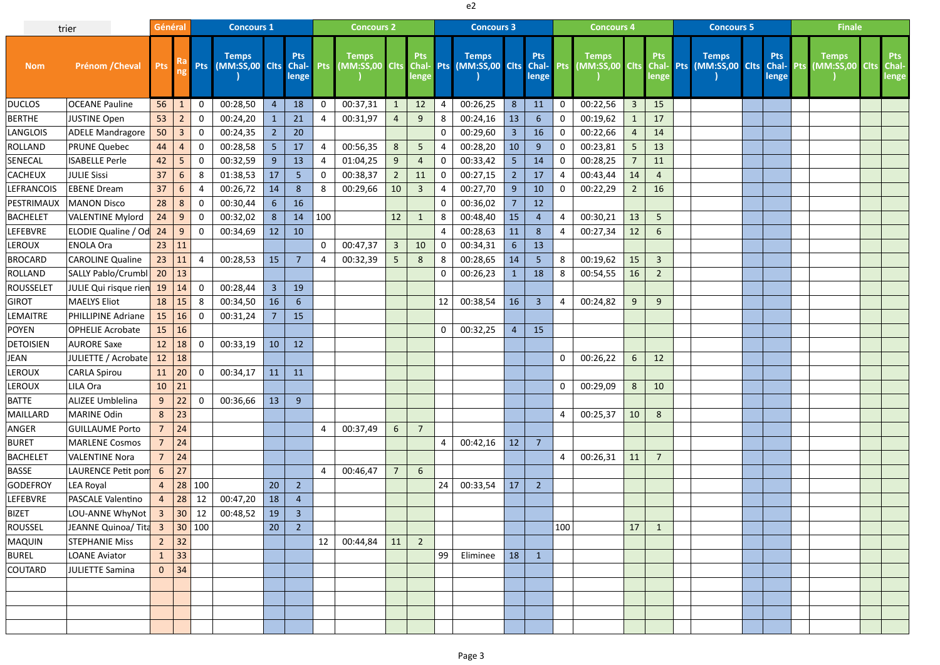e2

| trier            | Général<br><b>Concours 1</b> |                |                 |                |                                | <b>Concours 2</b> |                              |                |                                |                | <b>Concours 3</b> |                |                                                |                 | <b>Concours 4</b>   |             | <b>Concours 5</b>             |                |                              |  |                                    | <b>Finale</b> |                              |  |                         |  |                              |
|------------------|------------------------------|----------------|-----------------|----------------|--------------------------------|-------------------|------------------------------|----------------|--------------------------------|----------------|-------------------|----------------|------------------------------------------------|-----------------|---------------------|-------------|-------------------------------|----------------|------------------------------|--|------------------------------------|---------------|------------------------------|--|-------------------------|--|------------------------------|
| <b>Nom</b>       | <b>Prénom / Cheval</b>       | Pts            |                 | <b>Pts</b>     | <b>Temps</b><br>(MM:SS,00 Clts |                   | <b>Pts</b><br>Chal-<br>lenge | <b>Pts</b>     | <b>Temps</b><br>(MM:SS,00 Clts |                | Pts<br>lenge      |                | <b>Temps</b><br>Chal- Pts (MM:SS,00 Clts Chal- |                 | <b>Pts</b><br>lenge | Pts         | <b>Temps</b><br>MM:SS,00 Clts |                | <b>Pts</b><br>Chal-<br>lenge |  | <b>Temps</b><br>Pts (MM:SS,00 Clts |               | <b>Pts</b><br>Chal-<br>lenge |  | Temps<br>(MM:SS,00 Clts |  | <b>Pts</b><br>Chal-<br>lenge |
| <b>DUCLOS</b>    | <b>OCEANE Pauline</b>        | 56             | $\mathbf{1}$    | 0              | 00:28,50                       | $\overline{4}$    | 18                           | $\mathbf 0$    | 00:37,31                       | $\mathbf{1}$   | 12                | 4              | 00:26,25                                       | 8               | 11                  | 0           | 00:22,56                      | $\mathbf{3}$   | 15                           |  |                                    |               |                              |  |                         |  |                              |
| <b>BERTHE</b>    | <b>JUSTINE Open</b>          | 53             | $\overline{2}$  | 0              | 00:24,20                       | $\mathbf{1}$      | 21                           | $\overline{4}$ | 00:31,97                       | $\overline{4}$ | 9                 | 8              | 00:24,16                                       | 13              | 6                   | $\mathbf 0$ | 00:19,62                      | $\mathbf{1}$   | 17                           |  |                                    |               |                              |  |                         |  |                              |
| LANGLOIS         | ADELE Mandragore             | 50             | $\overline{3}$  | 0              | 00:24,35                       | $2^{\circ}$       | 20                           |                |                                |                |                   | 0              | 00:29,60                                       | $\mathbf{3}$    | 16                  | 0           | 00:22,66                      | $\overline{4}$ | 14                           |  |                                    |               |                              |  |                         |  |                              |
| ROLLAND          | <b>PRUNE Quebec</b>          | 44             | $\overline{4}$  | 0              | 00:28,58                       | 5 <sup>5</sup>    | 17                           | $\overline{4}$ | 00:56,35                       | 8              | 5                 | 4              | 00:28,20                                       | 10              | 9                   | $\mathbf 0$ | 00:23,81                      | 5              | 13                           |  |                                    |               |                              |  |                         |  |                              |
| SENECAL          | <b>ISABELLE Perle</b>        | 42             | $\sqrt{5}$      | 0              | 00:32,59                       | 9                 | 13                           | $\overline{4}$ | 01:04,25                       | 9              | $\overline{4}$    | $\mathbf 0$    | 00:33,42                                       | 5 <sup>1</sup>  | 14                  | 0           | 00:28,25                      | $\overline{7}$ | 11                           |  |                                    |               |                              |  |                         |  |                              |
| <b>CACHEUX</b>   | JULIE Sissi                  | 37             | $6\phantom{1}6$ | 8              | 01:38,53                       | 17                | $5\phantom{.0}$              | $\mathbf 0$    | 00:38,37                       | $\overline{2}$ | 11                | 0              | 00:27,15                                       | $2^{\circ}$     | 17                  | 4           | 00:43,44                      | 14             | $\overline{4}$               |  |                                    |               |                              |  |                         |  |                              |
| LEFRANCOIS       | <b>EBENE Dream</b>           | 37             | $6\phantom{1}6$ | 4              | 00:26,72                       | 14                | $8\phantom{1}$               | 8              | 00:29,66                       | 10             | $\overline{3}$    | $\overline{4}$ | 00:27,70                                       | 9 <sup>°</sup>  | 10                  | $\mathbf 0$ | 00:22,29                      | $\overline{2}$ | 16                           |  |                                    |               |                              |  |                         |  |                              |
| PESTRIMAUX       | MANON Disco                  | 28             | 8               | 0              | 00:30,44                       | $6\phantom{1}$    | 16                           |                |                                |                |                   | $\mathbf 0$    | 00:36,02                                       | 7 <sup>2</sup>  | 12                  |             |                               |                |                              |  |                                    |               |                              |  |                         |  |                              |
| BACHELET         | <b>VALENTINE Mylord</b>      | 24             | 9               | 0              | 00:32,02                       | 8                 | 14                           | 100            |                                | 12             | $\mathbf{1}$      | 8              | 00:48,40                                       | 15              | $\overline{4}$      | 4           | 00:30,21                      | 13             | 5                            |  |                                    |               |                              |  |                         |  |                              |
| LEFEBVRE         | <b>ELODIE Qualine / Od</b>   | 24             | 9               | 0              | 00:34,69                       | 12                | 10                           |                |                                |                |                   | $\overline{4}$ | 00:28,63                                       | 11              | 8                   | 4           | 00:27,34                      | 12             | 6                            |  |                                    |               |                              |  |                         |  |                              |
| <b>LEROUX</b>    | <b>ENOLA Ora</b>             | 23             | 11              |                |                                |                   |                              | 0              | 00:47,37                       | $\overline{3}$ | 10                | 0              | 00:34,31                                       | $6\overline{6}$ | 13                  |             |                               |                |                              |  |                                    |               |                              |  |                         |  |                              |
| <b>BROCARD</b>   | <b>CAROLINE Qualine</b>      | 23             | 11              | $\overline{4}$ | 00:28,53                       | 15                | $\overline{7}$               | $\overline{4}$ | 00:32,39                       | 5              | 8                 | 8              | 00:28,65                                       | 14              | 5                   | 8           | 00:19,62                      | 15             | $\overline{3}$               |  |                                    |               |                              |  |                         |  |                              |
| ROLLAND          | SALLY Pablo/Crumbl           | 20 13          |                 |                |                                |                   |                              |                |                                |                |                   | 0              | 00:26,23                                       | $\mathbf{1}$    | 18                  | 8           | 00:54,55                      | 16             | $\overline{2}$               |  |                                    |               |                              |  |                         |  |                              |
| ROUSSELET        | JULIE Qui risque rien        | 19             | 14              | 0              | 00:28,44                       | $\overline{3}$    | 19                           |                |                                |                |                   |                |                                                |                 |                     |             |                               |                |                              |  |                                    |               |                              |  |                         |  |                              |
| <b>GIROT</b>     | MAELYS Eliot                 | 18             | 15              | 8              | 00:34,50                       | 16                | $6\overline{6}$              |                |                                |                |                   | 12             | 00:38,54                                       | 16              | $\overline{3}$      | 4           | 00:24,82                      | 9              | 9                            |  |                                    |               |                              |  |                         |  |                              |
| LEMAITRE         | PHILLIPINE Adriane           | 15             | 16              | 0              | 00:31,24                       | $\overline{7}$    | 15                           |                |                                |                |                   |                |                                                |                 |                     |             |                               |                |                              |  |                                    |               |                              |  |                         |  |                              |
| POYEN            | <b>OPHELIE Acrobate</b>      | 15             | 16              |                |                                |                   |                              |                |                                |                |                   | $\mathbf 0$    | 00:32,25                                       | $\overline{4}$  | 15                  |             |                               |                |                              |  |                                    |               |                              |  |                         |  |                              |
| <b>DETOISIEN</b> | <b>AURORE Saxe</b>           | 12             | 18              | 0              | 00:33,19                       | 10                | 12                           |                |                                |                |                   |                |                                                |                 |                     |             |                               |                |                              |  |                                    |               |                              |  |                         |  |                              |
| <b>JEAN</b>      | JULIETTE / Acrobate          | $12 \mid 18$   |                 |                |                                |                   |                              |                |                                |                |                   |                |                                                |                 |                     | 0           | 00:26,22                      | 6              | 12                           |  |                                    |               |                              |  |                         |  |                              |
| LEROUX           | CARLA Spirou                 | 11             | 20              | 0              | 00:34,17                       | 11                | 11                           |                |                                |                |                   |                |                                                |                 |                     |             |                               |                |                              |  |                                    |               |                              |  |                         |  |                              |
| LEROUX           | LILA Ora                     | 10             | 21              |                |                                |                   |                              |                |                                |                |                   |                |                                                |                 |                     | 0           | 00:29,09                      | 8              | 10                           |  |                                    |               |                              |  |                         |  |                              |
| <b>BATTE</b>     | ALIZEE Umblelina             | 9              | 22              | $\mathbf 0$    | 00:36,66                       | 13                | 9                            |                |                                |                |                   |                |                                                |                 |                     |             |                               |                |                              |  |                                    |               |                              |  |                         |  |                              |
| MAILLARD         | MARINE Odin                  | 8              | 23              |                |                                |                   |                              |                |                                |                |                   |                |                                                |                 |                     | 4           | 00:25,37                      | 10             | 8                            |  |                                    |               |                              |  |                         |  |                              |
| ANGER            | <b>GUILLAUME Porto</b>       | $\overline{7}$ | 24              |                |                                |                   |                              | 4              | 00:37,49                       | 6              | $\overline{7}$    |                |                                                |                 |                     |             |                               |                |                              |  |                                    |               |                              |  |                         |  |                              |
| <b>BURET</b>     | MARLENE Cosmos               | $\overline{7}$ | 24              |                |                                |                   |                              |                |                                |                |                   | $\overline{4}$ | 00:42,16                                       | 12              | $\overline{7}$      |             |                               |                |                              |  |                                    |               |                              |  |                         |  |                              |
| <b>BACHELET</b>  | <b>VALENTINE Nora</b>        | $\overline{7}$ | 24              |                |                                |                   |                              |                |                                |                |                   |                |                                                |                 |                     | 4           | 00:26,31                      | 11             | $\overline{7}$               |  |                                    |               |                              |  |                         |  |                              |
| <b>BASSE</b>     | LAURENCE Petit pom           | 6              | 27              |                |                                |                   |                              | 4              | 00:46,47                       | $\overline{7}$ | 6                 |                |                                                |                 |                     |             |                               |                |                              |  |                                    |               |                              |  |                         |  |                              |
| GODEFROY         | LEA Royal                    | $\overline{4}$ | 28              | 100            |                                | 20                | $\overline{2}$               |                |                                |                |                   | 24             | 00:33,54                                       | 17              | $\overline{2}$      |             |                               |                |                              |  |                                    |               |                              |  |                         |  |                              |
| LEFEBVRE         | <b>PASCALE Valentino</b>     | 4              | 28              | 12             | 00:47,20                       | 18                | $\overline{4}$               |                |                                |                |                   |                |                                                |                 |                     |             |                               |                |                              |  |                                    |               |                              |  |                         |  |                              |
| <b>BIZET</b>     | LOU-ANNE WhyNot              | $\overline{3}$ | 30              | 12             | 00:48,52                       | 19                | $\overline{\mathbf{3}}$      |                |                                |                |                   |                |                                                |                 |                     |             |                               |                |                              |  |                                    |               |                              |  |                         |  |                              |
| ROUSSEL          | JEANNE Quinoa/Tita           | $\overline{3}$ |                 | 30 100         |                                | 20                | $\overline{2}$               |                |                                |                |                   |                |                                                |                 |                     | 100         |                               | 17             | $\mathbf{1}$                 |  |                                    |               |                              |  |                         |  |                              |
| MAQUIN           | <b>STEPHANIE Miss</b>        | $2^{\circ}$    | 32              |                |                                |                   |                              | 12             | 00:44,84                       | 11             | $\overline{2}$    |                |                                                |                 |                     |             |                               |                |                              |  |                                    |               |                              |  |                         |  |                              |
| <b>BUREL</b>     | <b>LOANE Aviator</b>         | $\mathbf{1}$   | 33              |                |                                |                   |                              |                |                                |                |                   | 99             | Eliminee                                       | 18              | $\mathbf{1}$        |             |                               |                |                              |  |                                    |               |                              |  |                         |  |                              |
| COUTARD          | <b>JULIETTE Samina</b>       | $\mathbf{0}$   | 34              |                |                                |                   |                              |                |                                |                |                   |                |                                                |                 |                     |             |                               |                |                              |  |                                    |               |                              |  |                         |  |                              |
|                  |                              |                |                 |                |                                |                   |                              |                |                                |                |                   |                |                                                |                 |                     |             |                               |                |                              |  |                                    |               |                              |  |                         |  |                              |
|                  |                              |                |                 |                |                                |                   |                              |                |                                |                |                   |                |                                                |                 |                     |             |                               |                |                              |  |                                    |               |                              |  |                         |  |                              |
|                  |                              |                |                 |                |                                |                   |                              |                |                                |                |                   |                |                                                |                 |                     |             |                               |                |                              |  |                                    |               |                              |  |                         |  |                              |
|                  |                              |                |                 |                |                                |                   |                              |                |                                |                |                   |                |                                                |                 |                     |             |                               |                |                              |  |                                    |               |                              |  |                         |  |                              |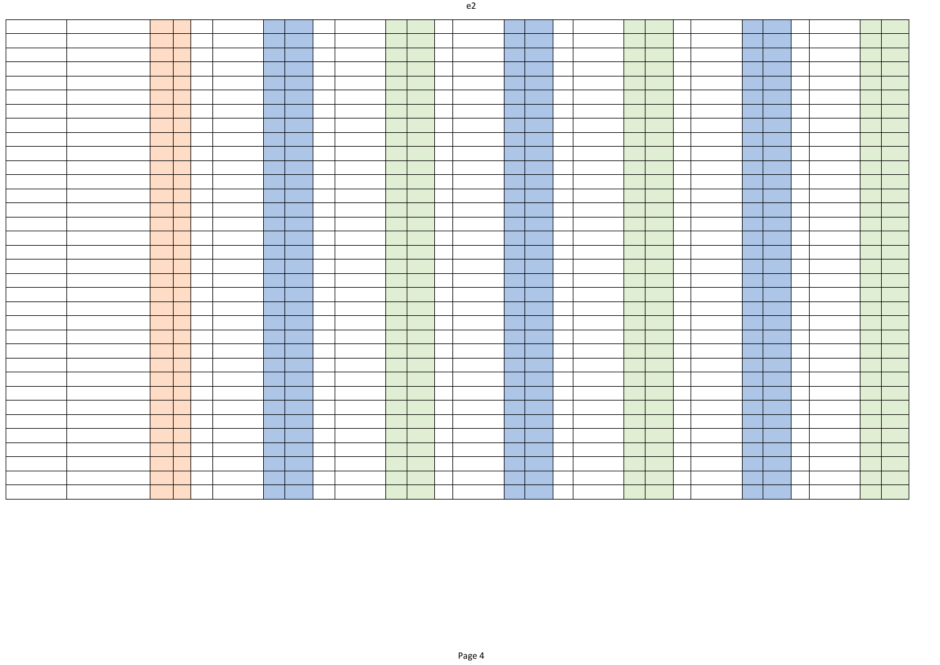e2